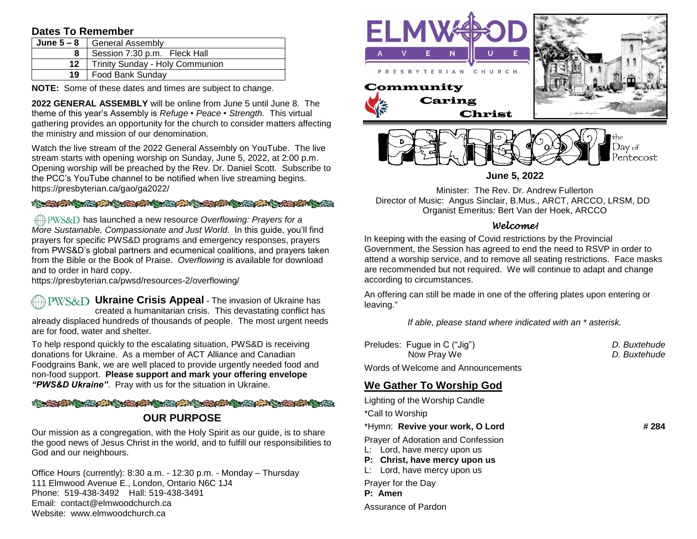#### **Dates To Remember**

|    | <b>June 5-8</b>   General Assembly |
|----|------------------------------------|
|    | Session 7:30 p.m. Fleck Hall       |
| 12 | Trinity Sunday - Holy Communion    |
| 19 | Food Bank Sunday                   |

**NOTE:** Some of these dates and times are subject to change.

**2022 GENERAL ASSEMBLY** will be online from June 5 until June 8. The theme of this year's Assembly is *Refuge • Peace • Strength.* This virtual gathering provides an opportunity for the church to consider matters affecting the ministry and mission of our denomination.

Watch the live stream of the 2022 General Assembly on YouTube. The live stream starts with opening worship on Sunday, June 5, 2022, at 2:00 p.m. Opening worship will be preached by the Rev. Dr. Daniel Scott. Subscribe to the PCC's YouTube channel to be notified when live streaming begins. https://presbyterian.ca/gao/ga2022/

### **A REAL AND A REAL AND A REAL AND A REAL AND A REAL AND A REAL AND A REAL AND A REAL AND A REAL AND A REAL AND A**

has launched a new resource *Overflowing: Prayers for a More Sustainable, Compassionate and Just World*. In this guide, you'll find prayers for specific PWS&D programs and emergency responses, prayers from PWS&D's global partners and ecumenical coalitions, and prayers taken from the Bible or the Book of Praise. *Overflowing* is available for download and to [order in hard copy.](https://form.jotform.com/Presby/pcc-order)

https://presbyterian.ca/pwsd/resources-2/overflowing/

# **PWS&D** Ukraine Crisis Appeal - The invasion of Ukraine has

created a humanitarian crisis. This devastating conflict has already displaced hundreds of thousands of people. The most urgent needs are for food, water and shelter.

To help respond quickly to the escalating situation, PWS&D is receiving donations for Ukraine. As a member of ACT Alliance and Canadian Foodgrains Bank, we are well placed to provide urgently needed food and non-food support. **Please support and mark your offering envelope**  *"PWS&D Ukraine"*. Pray with us for the situation in Ukraine.

#### **CONTRACTOR CONTRACTOR CONTRACTOR CONTRACTOR**

# **OUR PURPOSE**

Our mission as a congregation, with the Holy Spirit as our guide, is to share the good news of Jesus Christ in the world, and to fulfill our responsibilities to God and our neighbours.

Office Hours (currently): 8:30 a.m. - 12:30 p.m. - Monday – Thursday 111 Elmwood Avenue E., London, Ontario N6C 1J4 Phone: 519-438-3492 Hall: 519-438-3491 Email: [contact@elmwoodchurch.ca](mailto:contact@elmwoodchurch.ca)  Website: [www.elmwoodchurch.ca](http://www.elmwoodchurch.ca/)



**June 5, 2022**

Minister: The Rev. Dr. Andrew Fullerton Director of Music: Angus Sinclair, B.Mus., ARCT, ARCCO, LRSM, DD Organist Emeritus: Bert Van der Hoek, ARCCO

#### *Welcome!*

In keeping with the easing of Covid restrictions by the Provincial Government, the Session has agreed to end the need to RSVP in order to attend a worship service, and to remove all seating restrictions. Face masks are recommended but not required. We will continue to adapt and change according to circumstances.

An offering can still be made in one of the offering plates upon entering or leaving."

*If able, please stand where indicated with an \* asterisk.*

| Preludes: Fugue in C ("Jig")        | D. Buxtehude |
|-------------------------------------|--------------|
| Now Pray We                         | D. Buxtehude |
| Words of Welcome and Announcements. |              |

# **We Gather To Worship God**

Lighting of the Worship Candle \*Call to Worship \*Hymn: **Revive your work, O Lord # 284** Prayer of Adoration and Confession L: Lord, have mercy upon us **P: Christ, have mercy upon us** L: Lord, have mercy upon us

Prayer for the Day

**P: Amen**

Assurance of Pardon